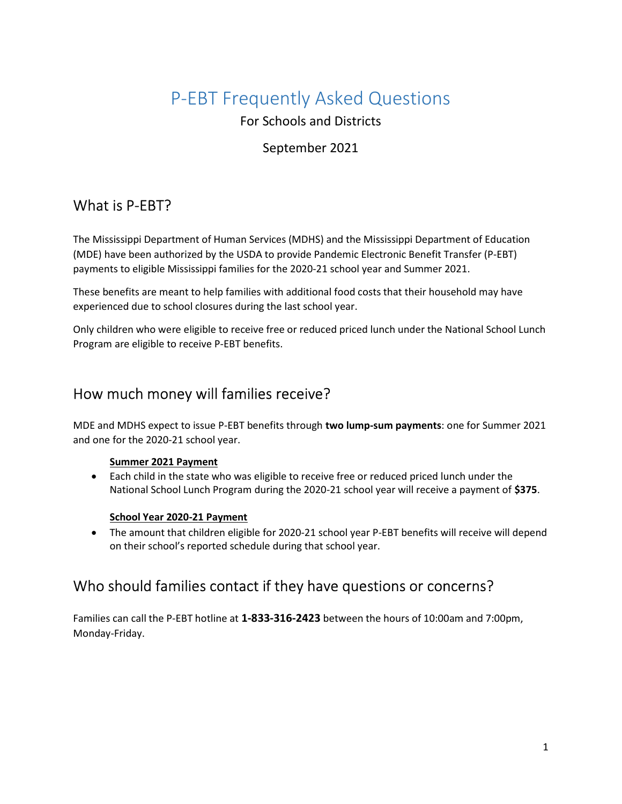# P-EBT Frequently Asked Questions

For Schools and Districts

#### September 2021

## What is P-EBT?

The Mississippi Department of Human Services (MDHS) and the Mississippi Department of Education (MDE) have been authorized by the USDA to provide Pandemic Electronic Benefit Transfer (P-EBT) payments to eligible Mississippi families for the 2020-21 school year and Summer 2021.

These benefits are meant to help families with additional food costs that their household may have experienced due to school closures during the last school year.

Only children who were eligible to receive free or reduced priced lunch under the National School Lunch Program are eligible to receive P-EBT benefits.

#### How much money will families receive?

MDE and MDHS expect to issue P-EBT benefits through two lump-sum payments: one for Summer 2021 and one for the 2020-21 school year.

#### Summer 2021 Payment

 Each child in the state who was eligible to receive free or reduced priced lunch under the National School Lunch Program during the 2020-21 school year will receive a payment of \$375.

#### School Year 2020-21 Payment

• The amount that children eligible for 2020-21 school year P-EBT benefits will receive will depend on their school's reported schedule during that school year.

## Who should families contact if they have questions or concerns?

Families can call the P-EBT hotline at 1-833-316-2423 between the hours of 10:00am and 7:00pm, Monday-Friday.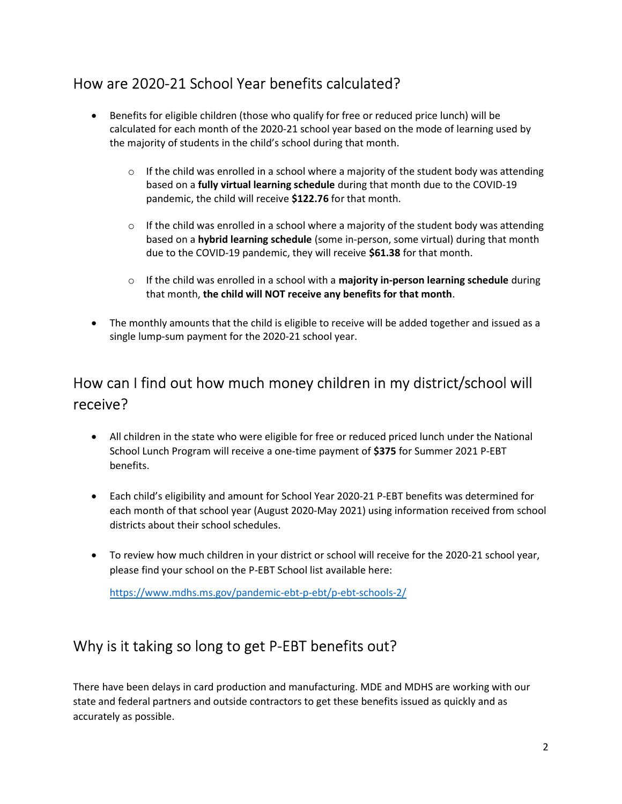### How are 2020-21 School Year benefits calculated?

- Benefits for eligible children (those who qualify for free or reduced price lunch) will be calculated for each month of the 2020-21 school year based on the mode of learning used by the majority of students in the child's school during that month.
	- $\circ$  If the child was enrolled in a school where a majority of the student body was attending based on a fully virtual learning schedule during that month due to the COVID-19 pandemic, the child will receive \$122.76 for that month.
	- $\circ$  If the child was enrolled in a school where a majority of the student body was attending based on a hybrid learning schedule (some in-person, some virtual) during that month due to the COVID-19 pandemic, they will receive \$61.38 for that month.
	- $\circ$  If the child was enrolled in a school with a majority in-person learning schedule during that month, the child will NOT receive any benefits for that month.
- The monthly amounts that the child is eligible to receive will be added together and issued as a single lump-sum payment for the 2020-21 school year.

## How can I find out how much money children in my district/school will receive?

- All children in the state who were eligible for free or reduced priced lunch under the National School Lunch Program will receive a one-time payment of \$375 for Summer 2021 P-EBT benefits.
- Each child's eligibility and amount for School Year 2020-21 P-EBT benefits was determined for each month of that school year (August 2020-May 2021) using information received from school districts about their school schedules.
- To review how much children in your district or school will receive for the 2020-21 school year, please find your school on the P-EBT School list available here:

https://www.mdhs.ms.gov/pandemic-ebt-p-ebt/p-ebt-schools-2/

### Why is it taking so long to get P-EBT benefits out?

There have been delays in card production and manufacturing. MDE and MDHS are working with our state and federal partners and outside contractors to get these benefits issued as quickly and as accurately as possible.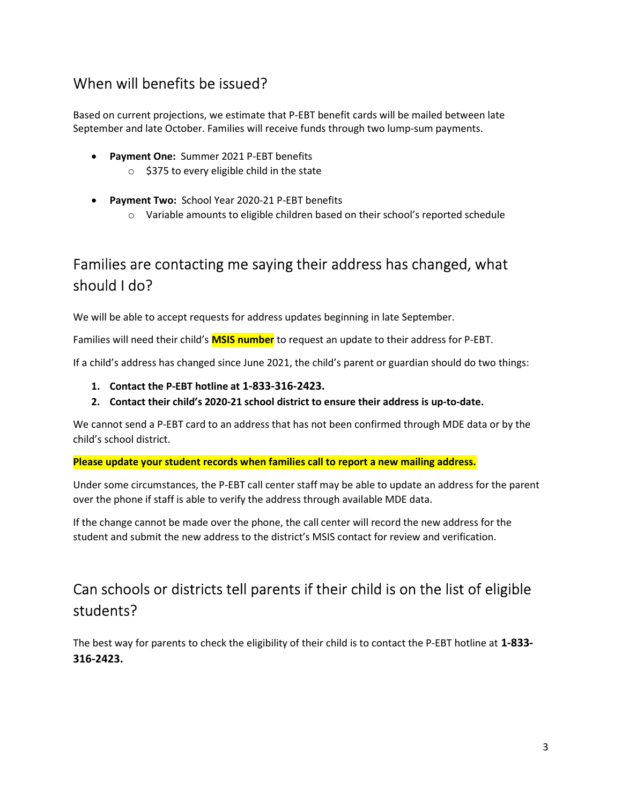### When will benefits be issued?

Based on current projections, we estimate that P-EBT benefit cards will be mailed between late September and late October. Families will receive funds through two lump-sum payments.

- Payment One: Summer 2021 P-EBT benefits
	- $\circ$  \$375 to every eligible child in the state
- Payment Two: School Year 2020-21 P-EBT benefits
	- $\circ$  Variable amounts to eligible children based on their school's reported schedule

## Families are contacting me saying their address has changed, what should I do?

We will be able to accept requests for address updates beginning in late September.

Families will need their child's MSIS number to request an update to their address for P-EBT.

If a child's address has changed since June 2021, the child's parent or guardian should do two things:

- 1. Contact the P-EBT hotline at 1-833-316-2423.
- 2. Contact their child's 2020-21 school district to ensure their address is up-to-date.

We cannot send a P-EBT card to an address that has not been confirmed through MDE data or by the child's school district.

Please update your student records when families call to report a new mailing address.

Under some circumstances, the P-EBT call center staff may be able to update an address for the parent over the phone if staff is able to verify the address through available MDE data.

If the change cannot be made over the phone, the call center will record the new address for the student and submit the new address to the district's MSIS contact for review and verification.

## Can schools or districts tell parents if their child is on the list of eligible students?

The best way for parents to check the eligibility of their child is to contact the P-EBT hotline at 1-833-316-2423.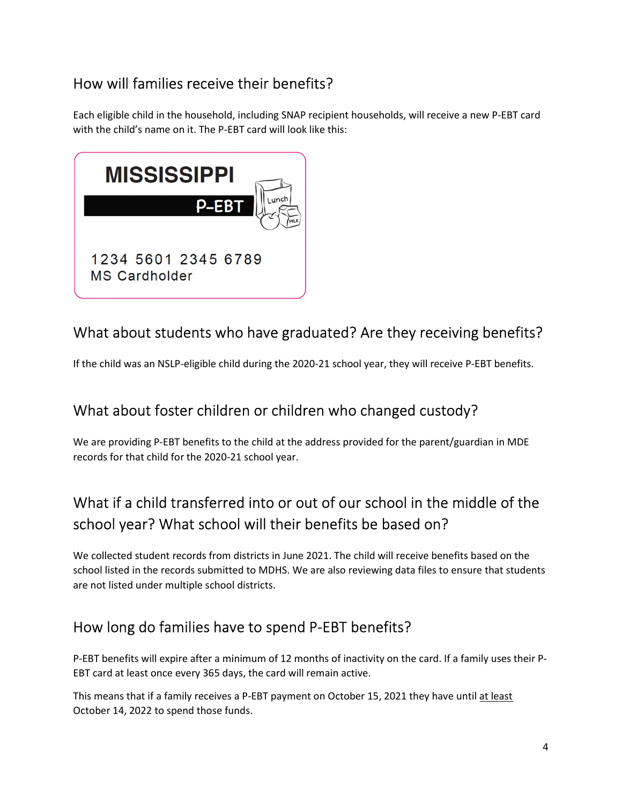## How will families receive their benefits?

Each eligible child in the household, including SNAP recipient households, will receive a new P-EBT card with the child's name on it. The P-EBT card will look like this:



## What about students who have graduated? Are they receiving benefits?

If the child was an NSLP-eligible child during the 2020-21 school year, they will receive P-EBT benefits.

## What about foster children or children who changed custody?

We are providing P-EBT benefits to the child at the address provided for the parent/guardian in MDE records for that child for the 2020-21 school year.

## What if a child transferred into or out of our school in the middle of the school year? What school will their benefits be based on?

We collected student records from districts in June 2021. The child will receive benefits based on the school listed in the records submitted to MDHS. We are also reviewing data files to ensure that students are not listed under multiple school districts.

## How long do families have to spend P-EBT benefits?

P-EBT benefits will expire after a minimum of 12 months of inactivity on the card. If a family uses their P-EBT card at least once every 365 days, the card will remain active.

This means that if a family receives a P-EBT payment on October 15, 2021 they have until at least October 14, 2022 to spend those funds.